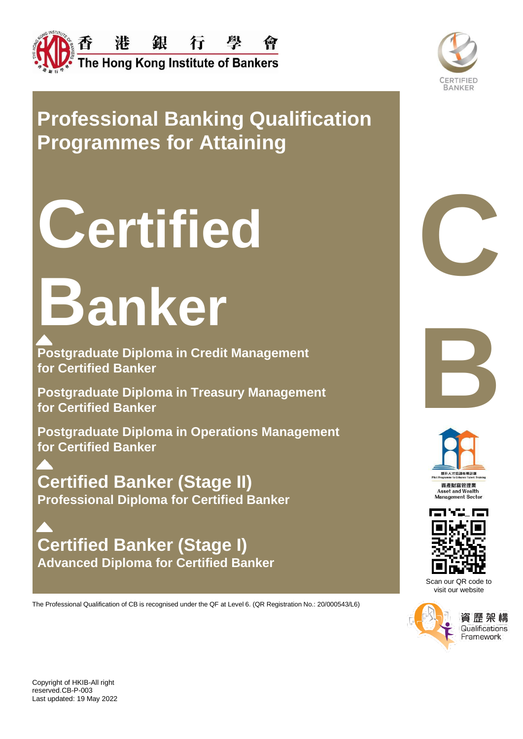



# **Professional Banking Qualification Programmes for Attaining**

# **<sup>C</sup>ertified C**

# **Banker**

**Postgraduate Diploma in Credit Management for Certified Banker**

**Postgraduate Diploma in Treasury Management for Certified Banker**

**Postgraduate Diploma in Operations Management for Certified Banker**

**Certified Banker (Stage II) Professional Diploma for Certified Banker**

**Certified Banker (Stage I) Advanced Diploma for Certified Banker**

The Professional Qualification of CB is recognised under the QF at Level 6. (QR Registration No.: 20/000543/L6)







Scan our QR code to visit our website



資 歷 架 1 **Qualifications** Framework

Copyright of HKIB-All right reserved.CB-P-003 Last updated: 19 May 2022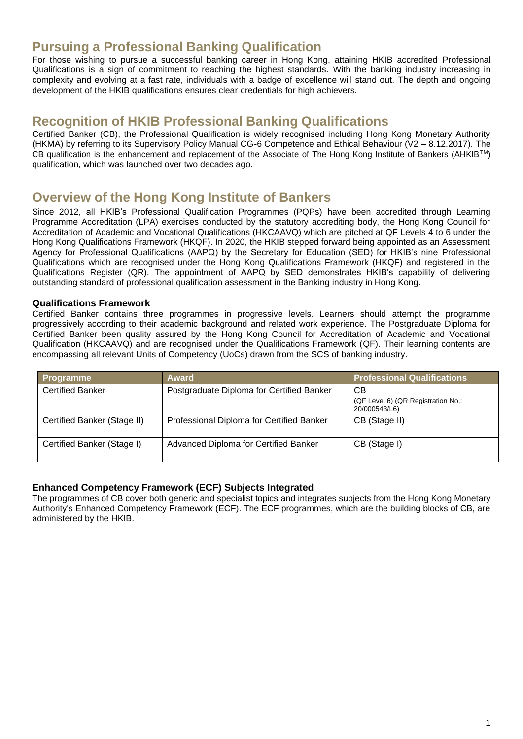## **Pursuing a Professional Banking Qualification**

For those wishing to pursue a successful banking career in Hong Kong, attaining HKIB accredited Professional Qualifications is a sign of commitment to reaching the highest standards. With the banking industry increasing in complexity and evolving at a fast rate, individuals with a badge of excellence will stand out. The depth and ongoing development of the HKIB qualifications ensures clear credentials for high achievers.

## **Recognition of HKIB Professional Banking Qualifications**

Certified Banker (CB), the Professional Qualification is widely recognised including Hong Kong Monetary Authority (HKMA) by referring to its Supervisory Policy Manual CG-6 Competence and Ethical Behaviour (V2 – 8.12.2017). The CB qualification is the enhancement and replacement of the Associate of The Hong Kong Institute of Bankers (AHKIBTM) qualification, which was launched over two decades ago.

## **Overview of the Hong Kong Institute of Bankers**

Since 2012, all HKIB's Professional Qualification Programmes (PQPs) have been accredited through Learning Programme Accreditation (LPA) exercises conducted by the statutory accrediting body, the Hong Kong Council for Accreditation of Academic and Vocational Qualifications (HKCAAVQ) which are pitched at QF Levels 4 to 6 under the Hong Kong Qualifications Framework (HKQF). In 2020, the HKIB stepped forward being appointed as an Assessment Agency for Professional Qualifications (AAPQ) by the Secretary for Education (SED) for HKIB's nine Professional Qualifications which are recognised under the Hong Kong Qualifications Framework (HKQF) and registered in the Qualifications Register (QR). The appointment of AAPQ by SED demonstrates HKIB's capability of delivering outstanding standard of professional qualification assessment in the Banking industry in Hong Kong.

#### **Qualifications Framework**

Certified Banker contains three programmes in progressive levels. Learners should attempt the programme progressively according to their academic background and related work experience. The Postgraduate Diploma for Certified Banker been quality assured by the Hong Kong Council for Accreditation of Academic and Vocational Qualification (HKCAAVQ) and are recognised under the Qualifications Framework (QF). Their learning contents are encompassing all relevant Units of Competency (UoCs) drawn from the SCS of banking industry.

| <b>Programme</b>            | <b>Award</b>                              | <b>Professional Qualifications</b>                  |
|-----------------------------|-------------------------------------------|-----------------------------------------------------|
| <b>Certified Banker</b>     | Postgraduate Diploma for Certified Banker | СB                                                  |
|                             |                                           | (QF Level 6) (QR Registration No.:<br>20/000543/L6) |
| Certified Banker (Stage II) | Professional Diploma for Certified Banker | CB (Stage II)                                       |
|                             |                                           |                                                     |
| Certified Banker (Stage I)  | Advanced Diploma for Certified Banker     | CB (Stage I)                                        |

#### **Enhanced Competency Framework (ECF) Subjects Integrated**

The programmes of CB cover both generic and specialist topics and integrates subjects from the Hong Kong Monetary Authority's Enhanced Competency Framework (ECF). The ECF programmes, which are the building blocks of CB, are administered by the HKIB.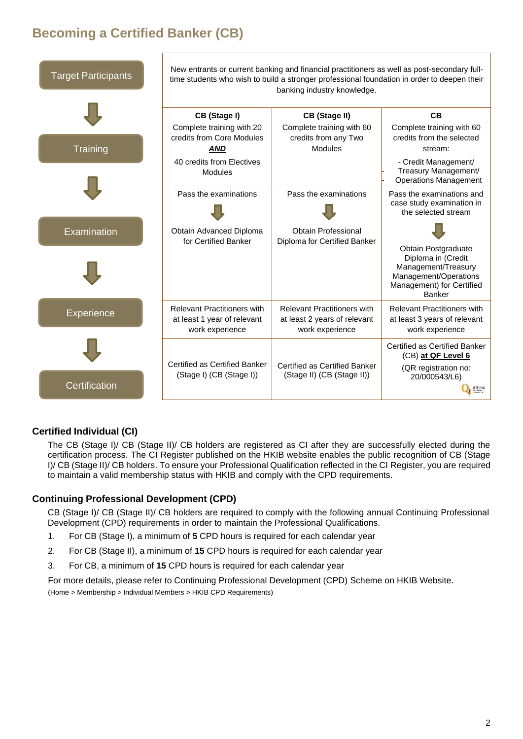# **Becoming a Certified Banker (CB)**



## **Certified Individual (CI)**

The CB (Stage I)/ CB (Stage II)/ CB holders are registered as CI after they are successfully elected during the certification process. The CI Register published on the HKIB website enables the public recognition of CB (Stage I)/ CB (Stage II)/ CB holders. To ensure your Professional Qualification reflected in the CI Register, you are required to maintain a valid membership status with HKIB and comply with the CPD requirements.

#### **Continuing Professional Development (CPD)**

CB (Stage I)/ CB (Stage II)/ CB holders are required to comply with the following annual Continuing Professional Development (CPD) requirements in order to maintain the Professional Qualifications.

- 1. For CB (Stage I), a minimum of **5** CPD hours is required for each calendar year
- 2. For CB (Stage II), a minimum of **15** CPD hours is required for each calendar year
- 3. For CB, a minimum of **15** CPD hours is required for each calendar year

For more details, please refer to Continuing Professional Development (CPD) Scheme on HKIB Website. (Home > Membership > Individual Members > HKIB CPD Requirements)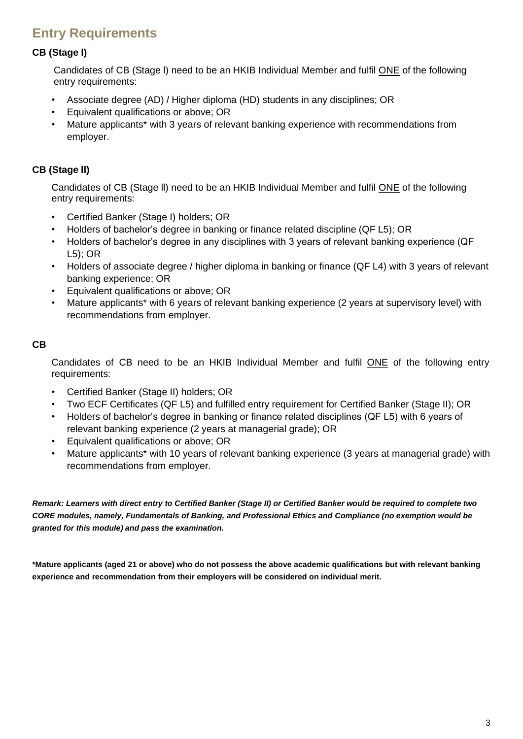# **Entry Requirements**

## **CB (Stage l)**

Candidates of CB (Stage l) need to be an HKIB Individual Member and fulfil ONE of the following entry requirements:

- Associate degree (AD) / Higher diploma (HD) students in any disciplines; OR
- Equivalent qualifications or above; OR
- Mature applicants\* with 3 years of relevant banking experience with recommendations from employer.

## **CB (Stage ll)**

Candidates of CB (Stage ll) need to be an HKIB Individual Member and fulfil ONE of the following entry requirements:

- Certified Banker (Stage I) holders; OR
- Holders of bachelor's degree in banking or finance related discipline (QF L5); OR
- Holders of bachelor's degree in any disciplines with 3 years of relevant banking experience (QF L5); OR
- Holders of associate degree / higher diploma in banking or finance (QF L4) with 3 years of relevant banking experience; OR
- Equivalent qualifications or above; OR
- Mature applicants<sup>\*</sup> with 6 years of relevant banking experience (2 years at supervisory level) with recommendations from employer.

#### **CB**

Candidates of CB need to be an HKIB Individual Member and fulfil ONE of the following entry requirements:

- Certified Banker (Stage II) holders; OR
- Two ECF Certificates (QF L5) and fulfilled entry requirement for Certified Banker (Stage II); OR
- Holders of bachelor's degree in banking or finance related disciplines (QF L5) with 6 years of relevant banking experience (2 years at managerial grade); OR
- Equivalent qualifications or above; OR
- Mature applicants\* with 10 years of relevant banking experience (3 years at managerial grade) with recommendations from employer.

*Remark: Learners with direct entry to Certified Banker (Stage II) or Certified Banker would be required to complete two CORE modules, namely, Fundamentals of Banking, and Professional Ethics and Compliance (no exemption would be granted for this module) and pass the examination.*

**\*Mature applicants (aged 21 or above) who do not possess the above academic qualifications but with relevant banking experience and recommendation from their employers will be considered on individual merit.**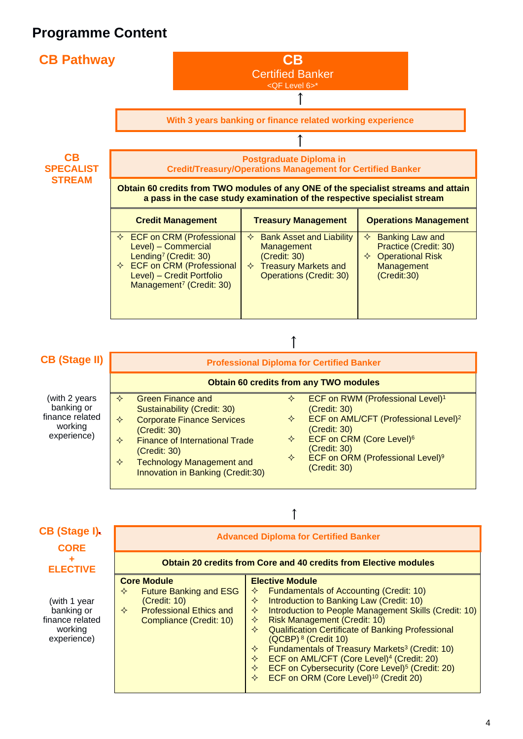

## **CB (Stage II)**

# ↑

| <b>CB (Stage II)</b>                                                     | <b>Professional Diploma for Certified Banker</b><br><b>Obtain 60 credits from any TWO modules</b>                                                                                                                                                                  |                  |                                                                                                                                                                                                                                                          |  |
|--------------------------------------------------------------------------|--------------------------------------------------------------------------------------------------------------------------------------------------------------------------------------------------------------------------------------------------------------------|------------------|----------------------------------------------------------------------------------------------------------------------------------------------------------------------------------------------------------------------------------------------------------|--|
|                                                                          |                                                                                                                                                                                                                                                                    |                  |                                                                                                                                                                                                                                                          |  |
| (with 2 years<br>banking or<br>finance related<br>working<br>experience) | <b>Green Finance and</b><br>✧<br>Sustainability (Credit: 30)<br><b>Corporate Finance Services</b><br>✧<br>(Credit: 30)<br><b>Finance of International Trade</b><br>✧<br>(Credit: 30)<br><b>Technology Management and</b><br>✧<br>Innovation in Banking (Credit:30) | ✧<br>✧<br>✧<br>✧ | ECF on RWM (Professional Level) <sup>1</sup><br>(Credit: 30)<br>ECF on AML/CFT (Professional Level) <sup>2</sup><br>(Credit: 30)<br>ECF on CRM (Core Level) <sup>6</sup><br>(Credit: 30)<br>ECF on ORM (Professional Level) <sup>9</sup><br>(Credit: 30) |  |

| ٦ |  |
|---|--|
|   |  |
|   |  |

| CB (Stage I).<br><b>CORE</b>                                            | <b>Advanced Diploma for Certified Banker</b><br><b>Obtain 20 credits from Core and 40 credits from Elective modules</b>                    |                                                                                                                                                                                                                                                                                                                                                                                                                                                                                                                                                                                                   |  |  |
|-------------------------------------------------------------------------|--------------------------------------------------------------------------------------------------------------------------------------------|---------------------------------------------------------------------------------------------------------------------------------------------------------------------------------------------------------------------------------------------------------------------------------------------------------------------------------------------------------------------------------------------------------------------------------------------------------------------------------------------------------------------------------------------------------------------------------------------------|--|--|
| <b>ELECTIVE</b>                                                         |                                                                                                                                            |                                                                                                                                                                                                                                                                                                                                                                                                                                                                                                                                                                                                   |  |  |
| (with 1 year<br>banking or<br>finance related<br>working<br>experience) | <b>Core Module</b><br><b>Future Banking and ESG</b><br>✧<br>(Credit: 10)<br><b>Professional Ethics and</b><br>✧<br>Compliance (Credit: 10) | <b>Elective Module</b><br><b>Fundamentals of Accounting (Credit: 10)</b><br>✧<br>Introduction to Banking Law (Credit: 10)<br>✧<br>Introduction to People Management Skills (Credit: 10)<br>✧<br><b>Risk Management (Credit: 10)</b><br>✧<br><b>Qualification Certificate of Banking Professional</b><br>✧<br>$(QCBP)8$ (Credit 10)<br>Fundamentals of Treasury Markets <sup>3</sup> (Credit: 10)<br>✧<br>ECF on AML/CFT (Core Level) <sup>4</sup> (Credit: 20)<br>❖<br>ECF on Cybersecurity (Core Level) <sup>5</sup> (Credit: 20)<br>✧<br>ECF on ORM (Core Level) <sup>10</sup> (Credit 20)<br>✧ |  |  |

#### 4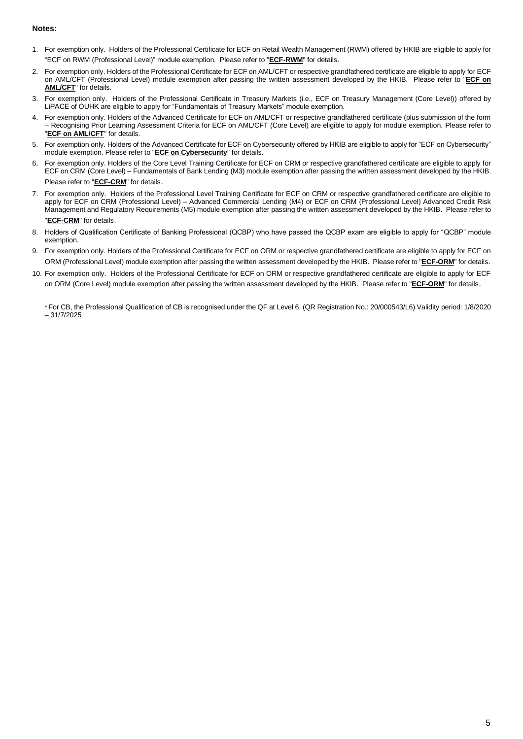#### **Notes:**

- 1. For exemption only. Holders of the Professional Certificate for ECF on Retail Wealth Management (RWM) offered by HKIB are eligible to apply for "ECF on RWM (Professional Level)" module exemption. Please refer to "**[ECF-RWM](https://www.hkib.org/page/85)**" for details.
- 2. For exemption only. Holders of the Professional Certificate for ECF on AML/CFT or respective grandfathered certificate are eligible to apply for ECF on AML/CFT (Professional Level) module exemption after passing the written assessment developed by the HKIB. Please refer to "**[ECF on](https://www.hkib.org/page/83)  [AML/CFT](https://www.hkib.org/page/83)**" for details.
- 3. For exemption only. Holders of the Professional Certificate in Treasury Markets (i.e., ECF on Treasury Management (Core Level)) offered by LiPACE of OUHK are eligible to apply for "Fundamentals of Treasury Markets" module exemption.
- 4. For exemption only. Holders of the Advanced Certificate for ECF on AML/CFT or respective grandfathered certificate (plus submission of the form – Recognising Prior Learning Assessment Criteria for ECF on AML/CFT (Core Level) are eligible to apply for module exemption. Please refer to "**[ECF on AML/CFT](https://www.hkib.org/page/83)**" for details.
- 5. For exemption only. Holders of the Advanced Certificate for ECF on Cybersecurity offered by HKIB are eligible to apply for "ECF on Cybersecurity" module exemption. Please refer to "**[ECF on Cybersecurity](https://www.hkib.org/page/83)**" for details.
- 6. For exemption only. Holders of the Core Level Training Certificate for ECF on CRM or respective grandfathered certificate are eligible to apply for ECF on CRM (Core Level) – Fundamentals of Bank Lending (M3) module exemption after passing the written assessment developed by the HKIB. Please refer to "**[ECF-CRM](https://www.hkib.org/page/85)**" for details.
- 7. For exemption only. Holders of the Professional Level Training Certificate for ECF on CRM or respective grandfathered certificate are eligible to apply for ECF on CRM (Professional Level) – Advanced Commercial Lending (M4) or ECF on CRM (Professional Level) Advanced Credit Risk Management and Regulatory Requirements (M5) module exemption after passing the written assessment developed by the HKIB. Please refer to

#### "**[ECF-CRM](https://www.hkib.org/page/85)**" for details.

- 8. Holders of Qualification Certificate of Banking Professional (QCBP) who have passed the QCBP exam are eligible to apply for "QCBP" module exemption.
- 9. For exemption only. Holders of the Professional Certificate for ECF on ORM or respective grandfathered certificate are eligible to apply for ECF on ORM (Professional Level) module exemption after passing the written assessment developed by the HKIB. Please refer to "**[ECF-ORM](https://www.hkib.org/page/85)**" for details.
- 10. For exemption only. Holders of the Professional Certificate for ECF on ORM or respective grandfathered certificate are eligible to apply for ECF on ORM (Core Level) module exemption after passing the written assessment developed by the HKIB. Please refer to "**[ECF-ORM](https://www.hkib.org/page/85)**" for details.

\* For CB, the Professional Qualification of CB is recognised under the QF at Level 6. (QR Registration No.: 20/000543/L6) Validity period: 1/8/2020 – 31/7/2025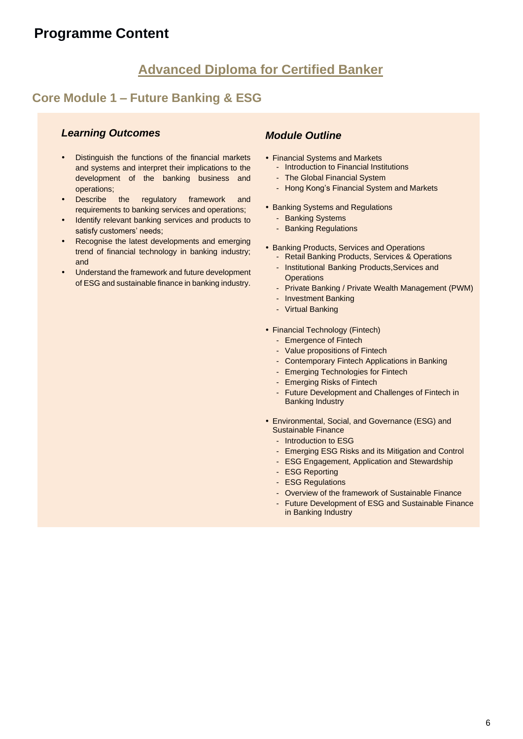# **Advanced Diploma for Certified Banker**

## **Core Module 1 – Future Banking & ESG**

## *Learning Outcomes*

- Distinguish the functions of the financial markets and systems and interpret their implications to the development of the banking business and operations;
- Describe the regulatory framework and requirements to banking services and operations;
- Identify relevant banking services and products to satisfy customers' needs;
- Recognise the latest developments and emerging trend of financial technology in banking industry; and
- Understand the framework and future development of ESG and sustainable finance in banking industry.

- Financial Systems and Markets
	- Introduction to Financial Institutions
	- The Global Financial System
	- Hong Kong's Financial System and Markets
- Banking Systems and Regulations
	- Banking Systems
	- Banking Regulations
- Banking Products, Services and Operations
	- Retail Banking Products, Services & Operations
	- Institutional Banking Products,Services and **Operations**
	- Private Banking / Private Wealth Management (PWM)
	- Investment Banking
	- Virtual Banking
- Financial Technology (Fintech)
	- Emergence of Fintech
	- Value propositions of Fintech
	- Contemporary Fintech Applications in Banking
	- Emerging Technologies for Fintech
	- Emerging Risks of Fintech
	- Future Development and Challenges of Fintech in Banking Industry
- Environmental, Social, and Governance (ESG) and Sustainable Finance
	- Introduction to ESG
	- Emerging ESG Risks and its Mitigation and Control
	- ESG Engagement, Application and Stewardship
	- **ESG Reporting**
	- ESG Regulations
	- Overview of the framework of Sustainable Finance
	- Future Development of ESG and Sustainable Finance in Banking Industry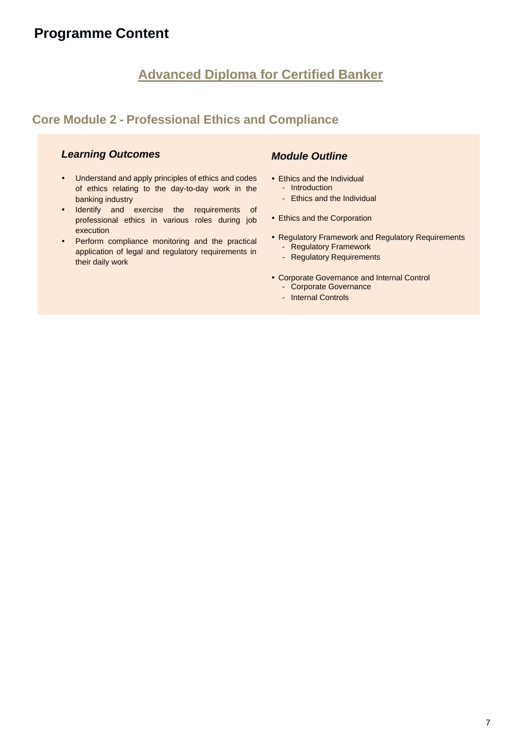# **Advanced Diploma for Certified Banker**

## **Core Module 2 - Professional Ethics and Compliance**

#### *Learning Outcomes*

- Understand and apply principles of ethics and codes of ethics relating to the day-to-day work in the banking industry
- Identify and exercise the requirements of professional ethics in various roles during job execution
- Perform compliance monitoring and the practical application of legal and regulatory requirements in their daily work

- Ethics and the Individual
	- Introduction
	- Ethics and the Individual
- Ethics and the Corporation
- Regulatory Framework and Regulatory Requirements
	- Regulatory Framework
	- Regulatory Requirements
- Corporate Governance and Internal Control
	- Corporate Governance
	- Internal Controls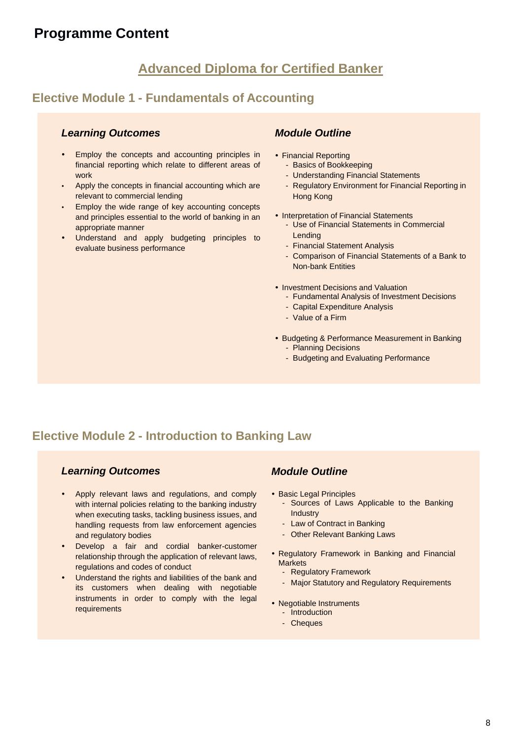# **Advanced Diploma for Certified Banker**

## **Elective Module 1 - Fundamentals of Accounting**

#### *Learning Outcomes*

- Employ the concepts and accounting principles in financial reporting which relate to different areas of work
- Apply the concepts in financial accounting which are relevant to commercial lending
- Employ the wide range of key accounting concepts and principles essential to the world of banking in an appropriate manner
- Understand and apply budgeting principles to evaluate business performance

## *Module Outline*

- Financial Reporting
	- Basics of Bookkeeping
	- Understanding Financial Statements
	- Regulatory Environment for Financial Reporting in Hong Kong
- Interpretation of Financial Statements
	- Use of Financial Statements in Commercial Lending
	- Financial Statement Analysis
	- Comparison of Financial Statements of a Bank to Non-bank Entities
- Investment Decisions and Valuation
	- Fundamental Analysis of Investment Decisions
	- Capital Expenditure Analysis
	- Value of a Firm
- **Budgeting & Performance Measurement in Banking** - Planning Decisions
	- Budgeting and Evaluating Performance

## **Elective Module 2 - Introduction to Banking Law**

#### *Learning Outcomes*

- Apply relevant laws and regulations, and comply with internal policies relating to the banking industry when executing tasks, tackling business issues, and handling requests from law enforcement agencies and regulatory bodies
- Develop a fair and cordial banker-customer relationship through the application of relevant laws, regulations and codes of conduct
- Understand the rights and liabilities of the bank and its customers when dealing with negotiable instruments in order to comply with the legal requirements

- Basic Legal Principles
	- Sources of Laws Applicable to the Banking Industry
	- Law of Contract in Banking
	- Other Relevant Banking Laws
- Regulatory Framework in Banking and Financial **Markets** 
	- Regulatory Framework
	- Major Statutory and Regulatory Requirements
- Negotiable Instruments
	- Introduction
	- Cheques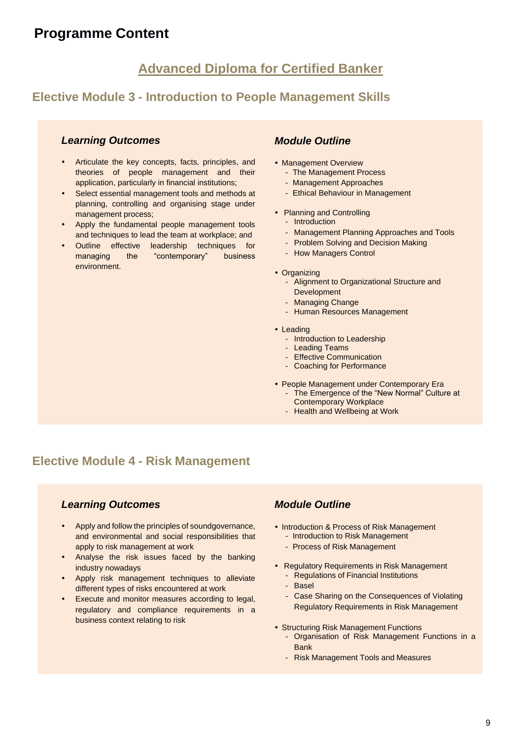## **Advanced Diploma for Certified Banker**

## **Elective Module 3 - Introduction to People Management Skills**

#### *Learning Outcomes*

- Articulate the key concepts, facts, principles, and theories of people management and their application, particularly in financial institutions;
- Select essential management tools and methods at planning, controlling and organising stage under management process;
- Apply the fundamental people management tools and techniques to lead the team at workplace; and
- Outline effective leadership techniques for managing the "contemporary" business environment.

#### *Module Outline*

- Management Overview
	- The Management Process
	- Management Approaches
	- Ethical Behaviour in Management
- Planning and Controlling
	- Introduction
	- Management Planning Approaches and Tools
	- Problem Solving and Decision Making
	- How Managers Control
- Organizing
	- Alignment to Organizational Structure and **Development**
	- Managing Change
	- Human Resources Management
- Leading
	- Introduction to Leadership
	- Leading Teams
	- Effective Communication
	- Coaching for Performance
- People Management under Contemporary Era
	- The Emergence of the "New Normal" Culture at Contemporary Workplace
	- Health and Wellbeing at Work

## **Elective Module 4 - Risk Management**

#### *Learning Outcomes*

- Apply and follow the principles of soundgovernance, and environmental and social responsibilities that apply to risk management at work
- Analyse the risk issues faced by the banking industry nowadays
- Apply risk management techniques to alleviate different types of risks encountered at work
- Execute and monitor measures according to legal, regulatory and compliance requirements in a business context relating to risk

- Introduction & Process of Risk Management - Introduction to Risk Management
	- Process of Risk Management
	-
- Regulatory Requirements in Risk Management
	- Regulations of Financial Institutions
	- **Basel**
	- Case Sharing on the Consequences of Violating Regulatory Requirements in Risk Management
- Structuring Risk Management Functions
	- Organisation of Risk Management Functions in a Bank
	- Risk Management Tools and Measures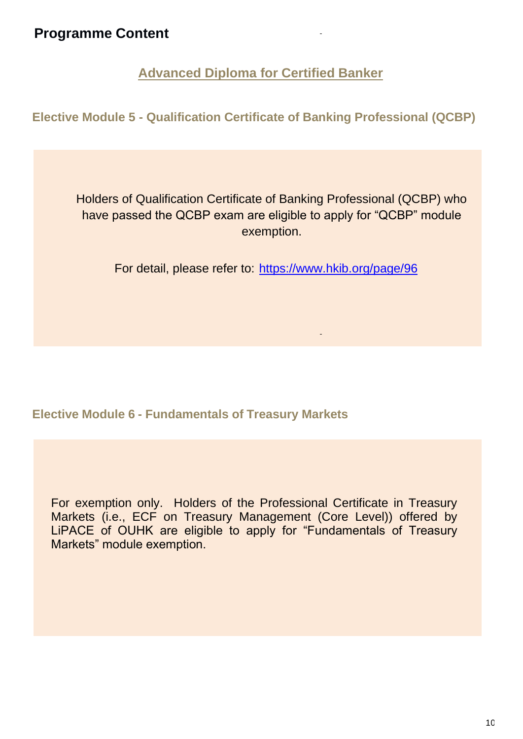**Advanced Diploma for Certified Banker**

**Elective Module 5 - Qualification Certificate of Banking Professional (QCBP)** 

Holders of Qualification Certificate of Banking Professional (QCBP) who have passed the QCBP exam are eligible to apply for "QCBP" module exemption.

For detail, please refer to: <https://www.hkib.org/page/96>

## **Elective Module 6 - Fundamentals of Treasury Markets**

For exemption only. Holders of the Professional Certificate in Treasury Markets (i.e., ECF on Treasury Management (Core Level)) offered by LiPACE of OUHK are eligible to apply for "Fundamentals of Treasury Markets" module exemption.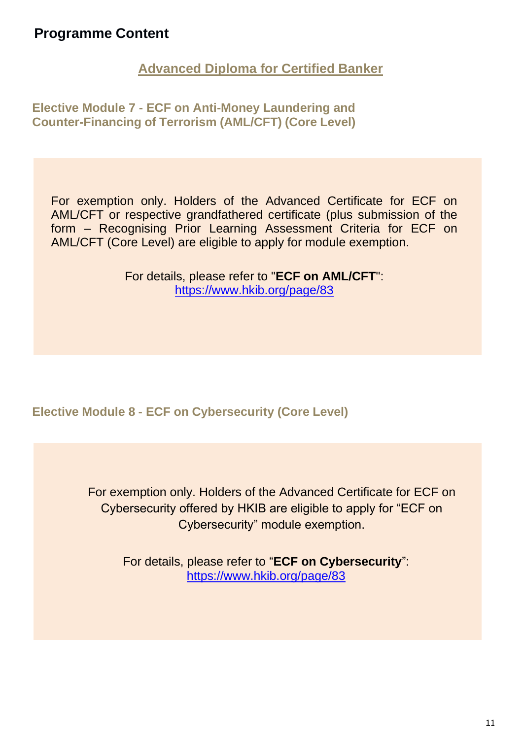**Advanced Diploma for Certified Banker**

**Elective Module 7 - ECF on Anti-Money Laundering and Counter-Financing of Terrorism (AML/CFT) (Core Level)**

For exemption only. Holders of the Advanced Certificate for ECF on AML/CFT or respective grandfathered certificate (plus submission of the form – Recognising Prior Learning Assessment Criteria for ECF on AML/CFT (Core Level) are eligible to apply for module exemption.

> For details, please refer to "**[ECF on AML/CFT](https://www.hkib.org/page/83)**": https://www.hkib.org/page/83

**Elective Module 8 - ECF on Cybersecurity (Core Level)**

For exemption only. Holders of the Advanced Certificate for ECF on Cybersecurity offered by HKIB are eligible to apply for "ECF on Cybersecurity" module exemption.

> For details, please refer to "**ECF on Cybersecurity**": https://www.hkib.org/page/83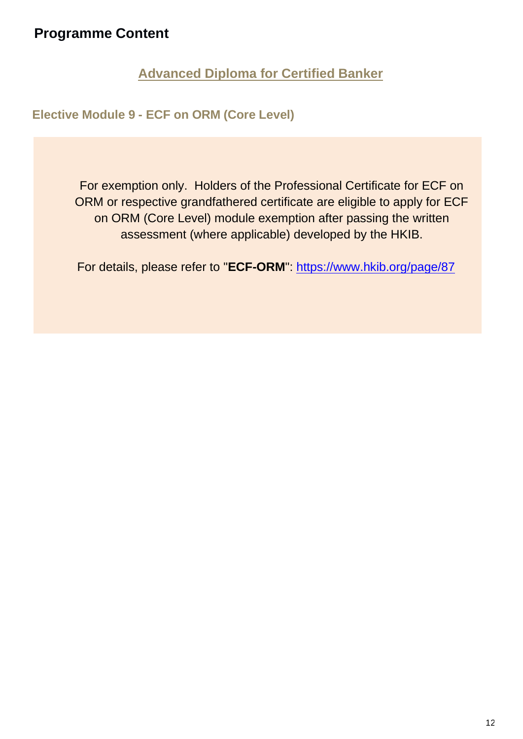**Advanced Diploma for Certified Banker**

**Elective Module 9 - ECF on ORM (Core Level)**

For exemption only. Holders of the Professional Certificate for ECF on ORM or respective grandfathered certificate are eligible to apply for ECF on ORM (Core Level) module exemption after passing the written assessment (where applicable) developed by the HKIB.

For details, please refer to "**[ECF-ORM](https://www.hkib.org/page/85)**": https://www.hkib.org/page/87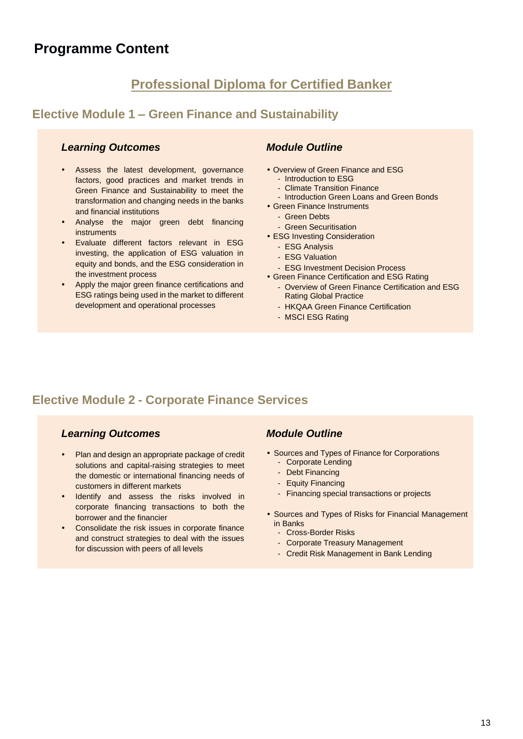# **Professional Diploma for Certified Banker**

## **Elective Module 1 – Green Finance and Sustainability**

#### *Learning Outcomes*

- Assess the latest development, governance factors, good practices and market trends in Green Finance and Sustainability to meet the transformation and changing needs in the banks and financial institutions
- Analyse the major green debt financing instruments
- Evaluate different factors relevant in ESG investing, the application of ESG valuation in equity and bonds, and the ESG consideration in the investment process
- Apply the major green finance certifications and ESG ratings being used in the market to different development and operational processes

#### *Module Outline*

- Overview of Green Finance and ESG
	- Introduction to ESG
	- Climate Transition Finance
	- Introduction Green Loans and Green Bonds
- Green Finance Instruments
	- Green Debts
	- Green Securitisation
- ESG Investing Consideration
	- ESG Analysis
	- ESG Valuation
	- ESG Investment Decision Process
- Green Finance Certification and ESG Rating
	- Overview of Green Finance Certification and ESG Rating Global Practice
	- HKQAA Green Finance Certification
	- MSCI ESG Rating

## **Elective Module 2 - Corporate Finance Services**

#### *Learning Outcomes*

- Plan and design an appropriate package of credit solutions and capital-raising strategies to meet the domestic or international financing needs of customers in different markets
- Identify and assess the risks involved in corporate financing transactions to both the borrower and the financier
- Consolidate the risk issues in corporate finance and construct strategies to deal with the issues for discussion with peers of all levels

- Sources and Types of Finance for Corporations
	- Corporate Lending
	- Debt Financing
	- Equity Financing
	- Financing special transactions or projects
- Sources and Types of Risks for Financial Management in Banks
	- Cross-Border Risks
	- Corporate Treasury Management
	- Credit Risk Management in Bank Lending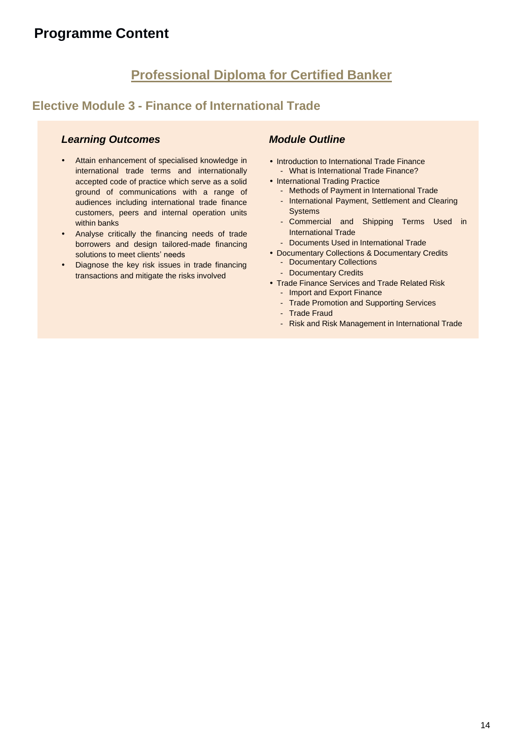# **Professional Diploma for Certified Banker**

## **Elective Module 3 - Finance of International Trade**

## *Learning Outcomes*

- Attain enhancement of specialised knowledge in international trade terms and internationally accepted code of practice which serve as a solid ground of communications with a range of audiences including international trade finance customers, peers and internal operation units within banks
- Analyse critically the financing needs of trade borrowers and design tailored-made financing solutions to meet clients' needs
- Diagnose the key risk issues in trade financing transactions and mitigate the risks involved

- Introduction to International Trade Finance - What is International Trade Finance?
- International Trading Practice
	- Methods of Payment in International Trade
	- International Payment, Settlement and Clearing **Systems**
	- Commercial and Shipping Terms Used in International Trade
	- Documents Used in International Trade
- Documentary Collections & Documentary Credits
	- Documentary Collections
	- Documentary Credits
- Trade Finance Services and Trade Related Risk
	- Import and Export Finance
	- Trade Promotion and Supporting Services
	- Trade Fraud
	- Risk and Risk Management in International Trade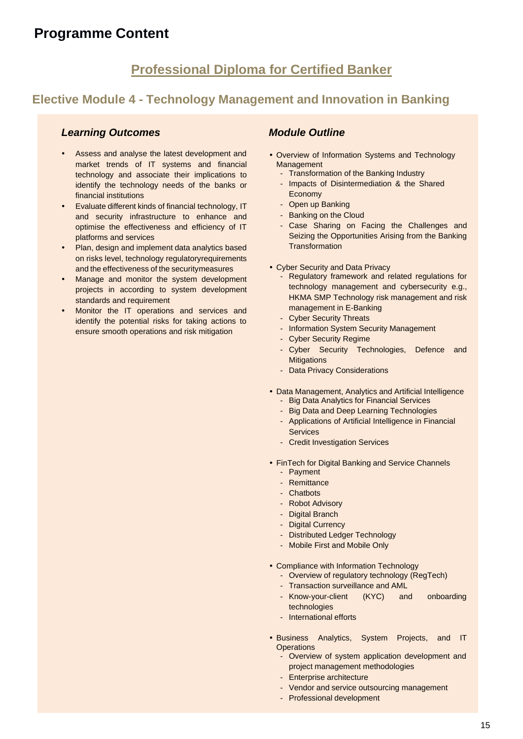## **Professional Diploma for Certified Banker**

## **Elective Module 4 - Technology Management and Innovation in Banking**

#### *Learning Outcomes*

- Assess and analyse the latest development and market trends of IT systems and financial technology and associate their implications to identify the technology needs of the banks or financial institutions
- Evaluate different kinds of financial technology, IT and security infrastructure to enhance and optimise the effectiveness and efficiency of IT platforms and services
- Plan, design and implement data analytics based on risks level, technology regulatoryrequirements and the effectiveness of the securitymeasures
- Manage and monitor the system development projects in according to system development standards and requirement
- Monitor the IT operations and services and identify the potential risks for taking actions to ensure smooth operations and risk mitigation

- Overview of Information Systems and Technology Management
	- Transformation of the Banking Industry
	- Impacts of Disintermediation & the Shared Economy
	- Open up Banking
	- Banking on the Cloud
	- Case Sharing on Facing the Challenges and Seizing the Opportunities Arising from the Banking **Transformation**
- Cyber Security and Data Privacy
	- Regulatory framework and related regulations for technology management and cybersecurity e.g., HKMA SMP Technology risk management and risk management in E-Banking
	- Cyber Security Threats
	- Information System Security Management
	- Cyber Security Regime
	- Cyber Security Technologies, Defence and **Mitigations**
	- Data Privacy Considerations
- Data Management, Analytics and Artificial Intelligence
	- Big Data Analytics for Financial Services
	- Big Data and Deep Learning Technologies
	- Applications of Artificial Intelligence in Financial **Services**
	- Credit Investigation Services
- FinTech for Digital Banking and Service Channels
	- Payment
	- Remittance
	- Chatbots
	- Robot Advisory
	- Digital Branch
	- Digital Currency
	- Distributed Ledger Technology
	- Mobile First and Mobile Only
- Compliance with Information Technology
	- Overview of regulatory technology (RegTech)
	- Transaction surveillance and AML
	- Know-your-client (KYC) and onboarding technologies
	- International efforts
- Business Analytics, System Projects, and IT **Operations** 
	- Overview of system application development and project management methodologies
	- Enterprise architecture
	- Vendor and service outsourcing management
	- Professional development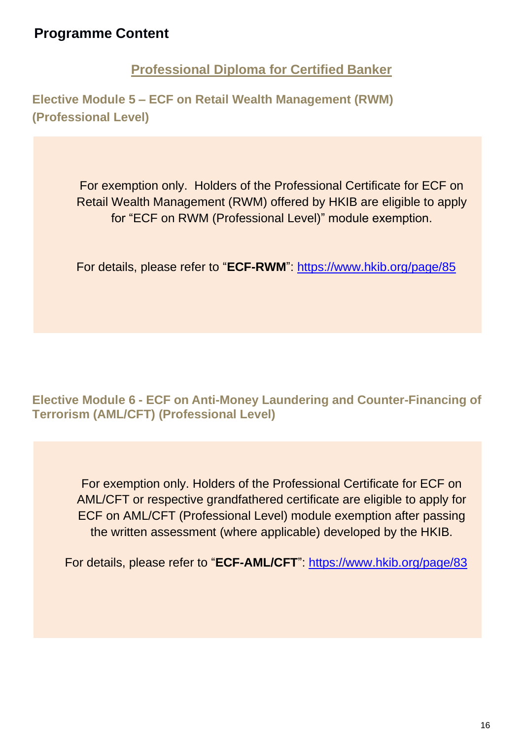**Professional Diploma for Certified Banker**

**Elective Module 5 – ECF on Retail Wealth Management (RWM) (Professional Level)**

> For exemption only. Holders of the Professional Certificate for ECF on Retail Wealth Management (RWM) offered by HKIB are eligible to apply for "ECF on RWM (Professional Level)" module exemption.

For details, please refer to "**ECF-RWM**": https://www.hkib.org/page/85

**Elective Module 6 - ECF on Anti-Money Laundering and Counter-Financing of Terrorism (AML/CFT) (Professional Level)**

For exemption only. Holders of the Professional Certificate for ECF on AML/CFT or respective grandfathered certificate are eligible to apply for ECF on AML/CFT (Professional Level) module exemption after passing the written assessment (where applicable) developed by the HKIB.

For details, please refer to "**ECF-AML/CFT**": https://www.hkib.org/page/83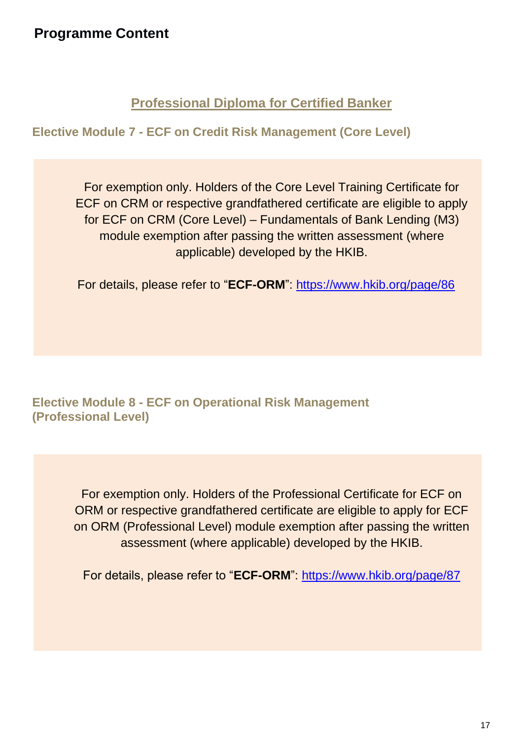## **Professional Diploma for Certified Banker**

**Elective Module 7 - ECF on Credit Risk Management (Core Level)** 

For exemption only. Holders of the Core Level Training Certificate for ECF on CRM or respective grandfathered certificate are eligible to apply for ECF on CRM (Core Level) – Fundamentals of Bank Lending (M3) module exemption after passing the written assessment (where applicable) developed by the HKIB.

For details, please refer to "**ECF-ORM**": https://www.hkib.org/page/86

## **Elective Module 8 - ECF on Operational Risk Management (Professional Level)**

For exemption only. Holders of the Professional Certificate for ECF on ORM or respective grandfathered certificate are eligible to apply for ECF on ORM (Professional Level) module exemption after passing the written assessment (where applicable) developed by the HKIB.

For details, please refer to "**ECF-ORM**": https://www.hkib.org/page/87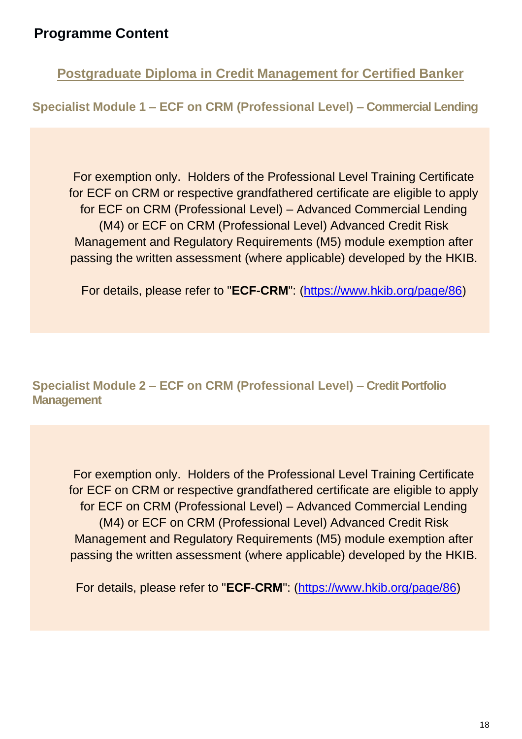**Postgraduate Diploma in Credit Management for Certified Banker**

**Specialist Module 1 – ECF on CRM (Professional Level) – Commercial Lending**

For exemption only. Holders of the Professional Level Training Certificate for ECF on CRM or respective grandfathered certificate are eligible to apply for ECF on CRM (Professional Level) – Advanced Commercial Lending (M4) or ECF on CRM (Professional Level) Advanced Credit Risk Management and Regulatory Requirements (M5) module exemption after passing the written assessment (where applicable) developed by the HKIB.

For details, please refer to "**[ECF-CRM](https://www.hkib.org/page/85)**": (https://www.hkib.org/page/86)

**Specialist Module 2 – ECF on CRM (Professional Level) – Credit Portfolio Management**

For exemption only. Holders of the Professional Level Training Certificate for ECF on CRM or respective grandfathered certificate are eligible to apply for ECF on CRM (Professional Level) – Advanced Commercial Lending (M4) or ECF on CRM (Professional Level) Advanced Credit Risk Management and Regulatory Requirements (M5) module exemption after passing the written assessment (where applicable) developed by the HKIB.

For details, please refer to "**[ECF-CRM](https://www.hkib.org/page/85)**": (https://www.hkib.org/page/86)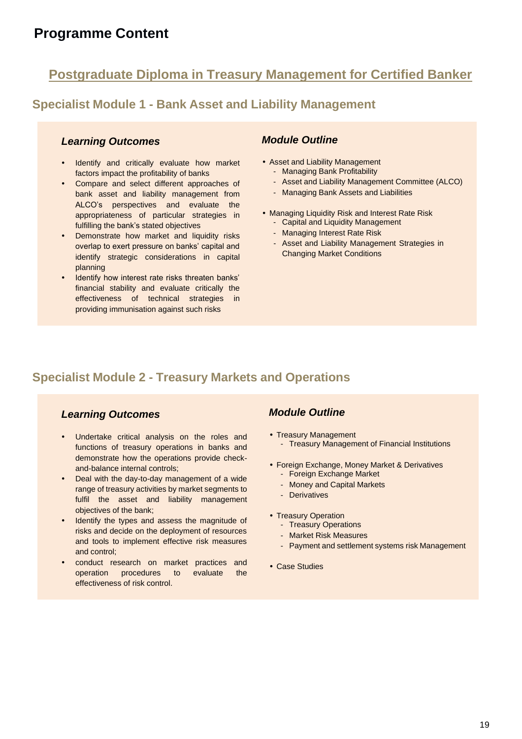## **Postgraduate Diploma in Treasury Management for Certified Banker**

## **Specialist Module 1 - Bank Asset and Liability Management**

#### *Learning Outcomes*

- Identify and critically evaluate how market factors impact the profitability of banks
- Compare and select different approaches of bank asset and liability management from ALCO's perspectives and evaluate the appropriateness of particular strategies in fulfilling the bank's stated objectives
- Demonstrate how market and liquidity risks overlap to exert pressure on banks' capital and identify strategic considerations in capital planning
- Identify how interest rate risks threaten banks' financial stability and evaluate critically the effectiveness of technical strategies in providing immunisation against such risks

#### *Module Outline*

- Asset and Liability Management
	- Managing Bank Profitability
	- Asset and Liability Management Committee (ALCO)
	- Managing Bank Assets and Liabilities
- Managing Liquidity Risk and Interest Rate Risk - Capital and Liquidity Management
	- Managing Interest Rate Risk
	- Asset and Liability Management Strategies in Changing Market Conditions

## **Specialist Module 2 - Treasury Markets and Operations**

## *Learning Outcomes*

- Undertake critical analysis on the roles and functions of treasury operations in banks and demonstrate how the operations provide checkand-balance internal controls;
- Deal with the day-to-day management of a wide range of treasury activities by market segments to fulfil the asset and liability management objectives of the bank;
- Identify the types and assess the magnitude of risks and decide on the deployment of resources and tools to implement effective risk measures and control;
- conduct research on market practices and operation procedures to evaluate the effectiveness of risk control.

- Treasury Management - Treasury Management of Financial Institutions
- Foreign Exchange, Money Market & Derivatives - Foreign Exchange Market
	- Money and Capital Markets
	- Derivatives
- Treasury Operation
	- Treasury Operations
	- Market Risk Measures
	- Payment and settlement systems risk Management
- Case Studies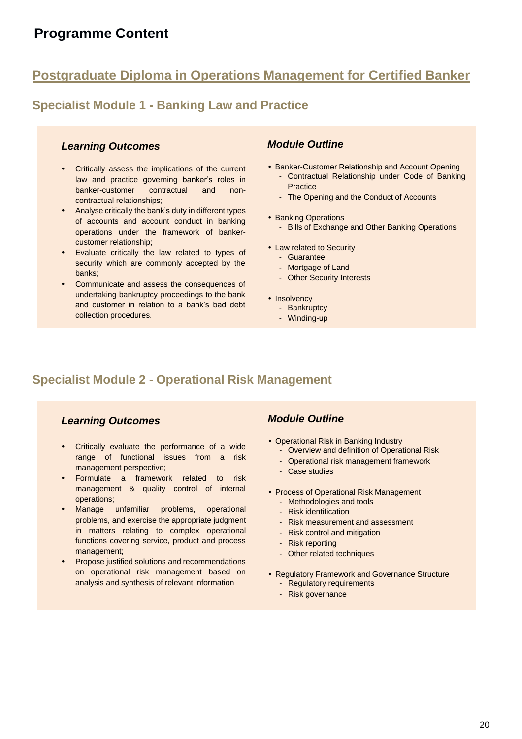# **Postgraduate Diploma in Operations Management for Certified Banker**

## **Specialist Module 1 - Banking Law and Practice**

#### *Learning Outcomes*

- Critically assess the implications of the current law and practice governing banker's roles in banker-customer contractual and noncontractual relationships;
- Analyse critically the bank's duty in different types of accounts and account conduct in banking operations under the framework of bankercustomer relationship;
- Evaluate critically the law related to types of security which are commonly accepted by the banks;
- Communicate and assess the consequences of undertaking bankruptcy proceedings to the bank and customer in relation to a bank's bad debt collection procedures.

## *Module Outline*

- Banker-Customer Relationship and Account Opening - Contractual Relationship under Code of Banking **Practice** 
	- The Opening and the Conduct of Accounts
- Banking Operations - Bills of Exchange and Other Banking Operations
- Law related to Security
	- Guarantee
	- Mortgage of Land
	- Other Security Interests
- Insolvency
	- Bankruptcy
	- Winding-up

## **Specialist Module 2 - Operational Risk Management**

## *Learning Outcomes*

- Critically evaluate the performance of a wide range of functional issues from a risk management perspective;
- Formulate a framework related to risk management & quality control of internal operations;
- Manage unfamiliar problems, operational problems, and exercise the appropriate judgment in matters relating to complex operational functions covering service, product and process management;
- Propose justified solutions and recommendations on operational risk management based on analysis and synthesis of relevant information

- Operational Risk in Banking Industry
	- Overview and definition of Operational Risk
	- Operational risk management framework
	- Case studies
- Process of Operational Risk Management
	- Methodologies and tools - Risk identification
	- Risk measurement and assessment
	- Risk control and mitigation
	-
	- Risk reporting
	- Other related techniques
- Regulatory Framework and Governance Structure
	- Regulatory requirements
	- Risk governance